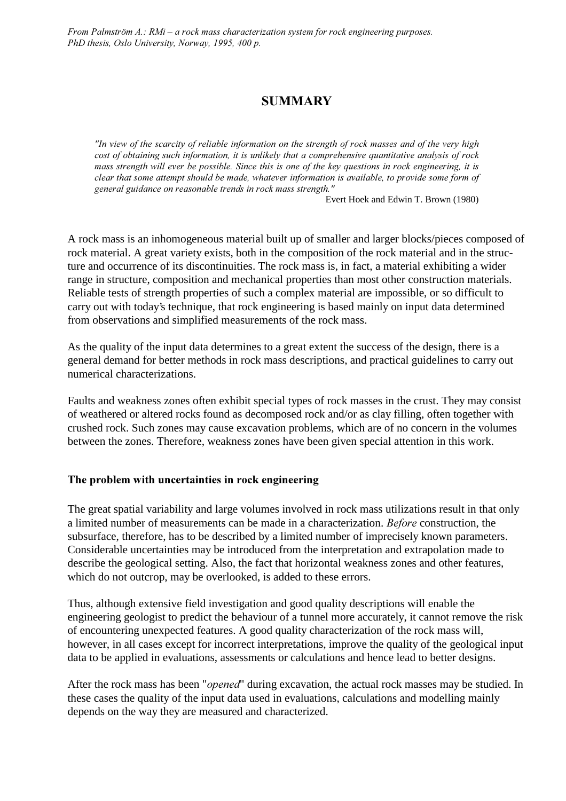From Palmström  $\Lambda$ .: RMi – a rock mass characterization system for rock engineering purposes. PhD thesis, Oslo University, Norway, 1995, 400 p.

# **SUMMARY**

"In view of the scarcity of reliable information on the strength of rock masses and of the very high cost of obtaining such information, it is unlikely that a comprehensive quantitative analysis of rock mass strength will ever be possible. Since this is one of the key questions in rock engineering, it is clear that some attempt should be made, whatever information is available, to provide some form of general guidance on reasonable trends in rock mass strength."

Evert Hoek and Edwin T. Brown (1980)

A rock mass is an inhomogeneous material built up of smaller and larger blocks/pieces composed of rock material. A great variety exists, both in the composition of the rock material and in the structure and occurrence of its discontinuities. The rock mass is, in fact, a material exhibiting a wider range in structure, composition and mechanical properties than most other construction materials. Reliable tests of strength properties of such a complex material are impossible, or so difficult to carry out with today's technique, that rock engineering is based mainly on input data determined from observations and simplified measurements of the rock mass.

As the quality of the input data determines to a great extent the success of the design, there is a general demand for better methods in rock mass descriptions, and practical guidelines to carry out numerical characterizations.

Faults and weakness zones often exhibit special types of rock masses in the crust. They may consist of weathered or altered rocks found as decomposed rock and/or as clay filling, often together with crushed rock. Such zones may cause excavation problems, which are of no concern in the volumes between the zones. Therefore, weakness zones have been given special attention in this work.

# The problem with uncertainties in rock engineering

The great spatial variability and large volumes involved in rock mass utilizations result in that only a limited number of measurements can be made in a characterization. Before construction, the subsurface, therefore, has to be described by a limited number of imprecisely known parameters. Considerable uncertainties may be introduced from the interpretation and extrapolation made to describe the geological setting. Also, the fact that horizontal weakness zones and other features, which do not outcrop, may be overlooked, is added to these errors.

Thus, although extensive field investigation and good quality descriptions will enable the engineering geologist to predict the behaviour of a tunnel more accurately, it cannot remove the risk of encountering unexpected features. A good quality characterization of the rock mass will, however, in all cases except for incorrect interpretations, improve the quality of the geological input data to be applied in evaluations, assessments or calculations and hence lead to better designs.

After the rock mass has been "*opened*" during excavation, the actual rock masses may be studied. In these cases the quality of the input data used in evaluations, calculations and modelling mainly depends on the way they are measured and characterized.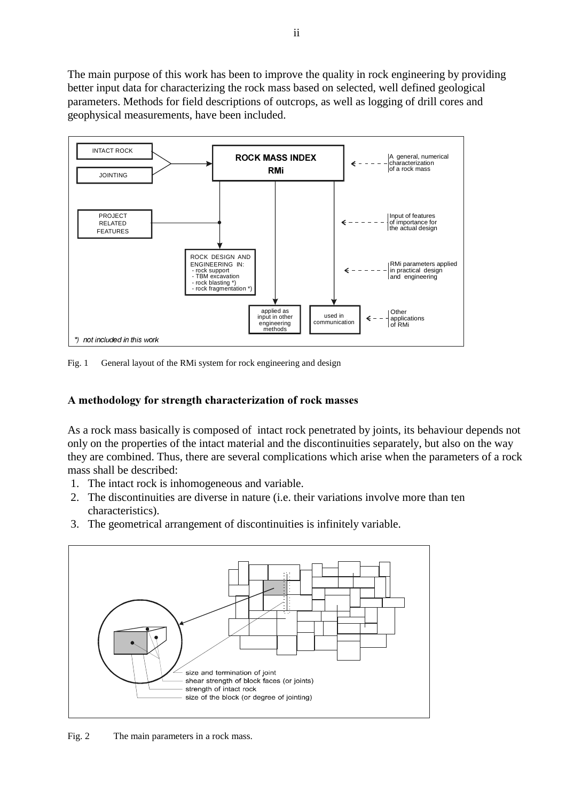The main purpose of this work has been to improve the quality in rock engineering by providing better input data for characterizing the rock mass based on selected, well defined geological parameters. Methods for field descriptions of outcrops, as well as logging of drill cores and geophysical measurements, have been included.



Fig. 1 General layout of the RMi system for rock engineering and design

# A methodology for strength characterization of rock masses

As a rock mass basically is composed of intact rock penetrated by joints, its behaviour depends not only on the properties of the intact material and the discontinuities separately, but also on the way they are combined. Thus, there are several complications which arise when the parameters of a rock mass shall be described:

- 1. The intact rock is inhomogeneous and variable.
- 2. The discontinuities are diverse in nature (i.e. their variations involve more than ten characteristics).
- 3. The geometrical arrangement of discontinuities is infinitely variable.



Fig. 2 The main parameters in a rock mass.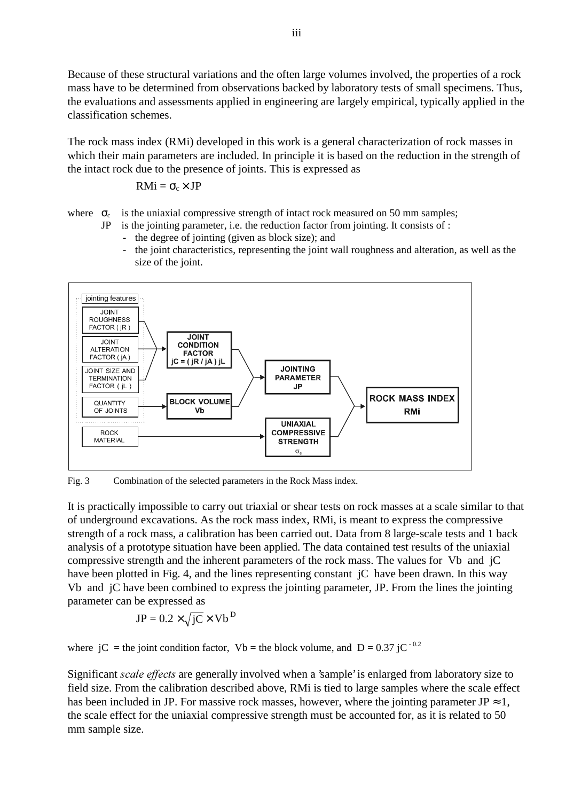Because of these structural variations and the often large volumes involved, the properties of a rock mass have to be determined from observations backed by laboratory tests of small specimens. Thus, the evaluations and assessments applied in engineering are largely empirical, typically applied in the classification schemes.

The rock mass index (RMi) developed in this work is a general characterization of rock masses in which their main parameters are included. In principle it is based on the reduction in the strength of the intact rock due to the presence of joints. This is expressed as

$$
RMi=\sigma_c\!\times JP
$$

where  $\sigma_c$  is the uniaxial compressive strength of intact rock measured on 50 mm samples;

- JP is the jointing parameter, i.e. the reduction factor from jointing. It consists of :
	- the degree of jointing (given as block size); and
	- the joint characteristics, representing the joint wall roughness and alteration, as well as the size of the joint.



Fig. 3 Combination of the selected parameters in the Rock Mass index.

It is practically impossible to carry out triaxial or shear tests on rock masses at a scale similar to that of underground excavations. As the rock mass index, RMi, is meant to express the compressive strength of a rock mass, a calibration has been carried out. Data from 8 large-scale tests and 1 back analysis of a prototype situation have been applied. The data contained test results of the uniaxial compressive strength and the inherent parameters of the rock mass. The values for Vb and jC have been plotted in Fig. 4, and the lines representing constant jC have been drawn. In this way Vb and jC have been combined to express the jointing parameter, JP. From the lines the jointing parameter can be expressed as

$$
JP = 0.2 \times \sqrt{jC} \times Vb^{D}
$$

where jC = the joint condition factor, Vb = the block volume, and D = 0.37 jC<sup>-0.2</sup>

Significant *scale effects* are generally involved when a 'sample' is enlarged from laboratory size to field size. From the calibration described above, RMi is tied to large samples where the scale effect has been included in JP. For massive rock masses, however, where the jointing parameter JP  $\approx 1$ , the scale effect for the uniaxial compressive strength must be accounted for, as it is related to 50 mm sample size.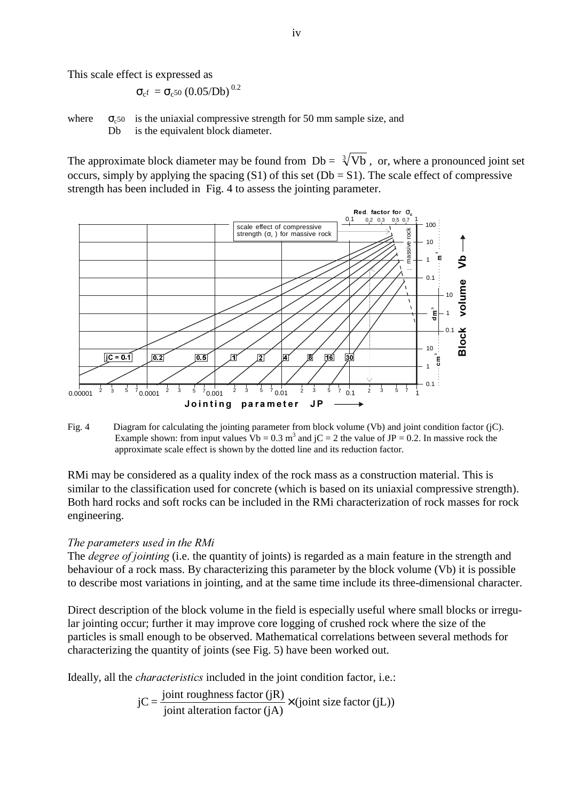This scale effect is expressed as

$$
\sigma_{c^f} \, = \sigma_{c^{50}} \, (0.05/Db)^{\,0.2}
$$

where  $\sigma_{c50}$  is the uniaxial compressive strength for 50 mm sample size, and Db is the equivalent block diameter.

The approximate block diameter may be found from  $Db = \sqrt[3]{Vb}$ , or, where a pronounced joint set occurs, simply by applying the spacing  $(S1)$  of this set  $(Db = S1)$ . The scale effect of compressive strength has been included in Fig. 4 to assess the jointing parameter.



Fig. 4 Diagram for calculating the jointing parameter from block volume (Vb) and joint condition factor (jC). Example shown: from input values  $Vb = 0.3$  m<sup>3</sup> and jC = 2 the value of JP = 0.2. In massive rock the approximate scale effect is shown by the dotted line and its reduction factor.

RMi may be considered as a quality index of the rock mass as a construction material. This is similar to the classification used for concrete (which is based on its uniaxial compressive strength). Both hard rocks and soft rocks can be included in the RMi characterization of rock masses for rock engineering.

# The parameters used in the RMi

The *degree of jointing* (i.e. the quantity of joints) is regarded as a main feature in the strength and behaviour of a rock mass. By characterizing this parameter by the block volume (Vb) it is possible to describe most variations in jointing, and at the same time include its three-dimensional character.

Direct description of the block volume in the field is especially useful where small blocks or irregular jointing occur; further it may improve core logging of crushed rock where the size of the particles is small enough to be observed. Mathematical correlations between several methods for characterizing the quantity of joints (see Fig. 5) have been worked out.

Ideally, all the *characteristics* included in the joint condition factor, i.e.:

$$
jC = \frac{\text{joint roughness factor (jR)}}{\text{joint alteration factor (jA)}} \times (\text{joint size factor (jL)})
$$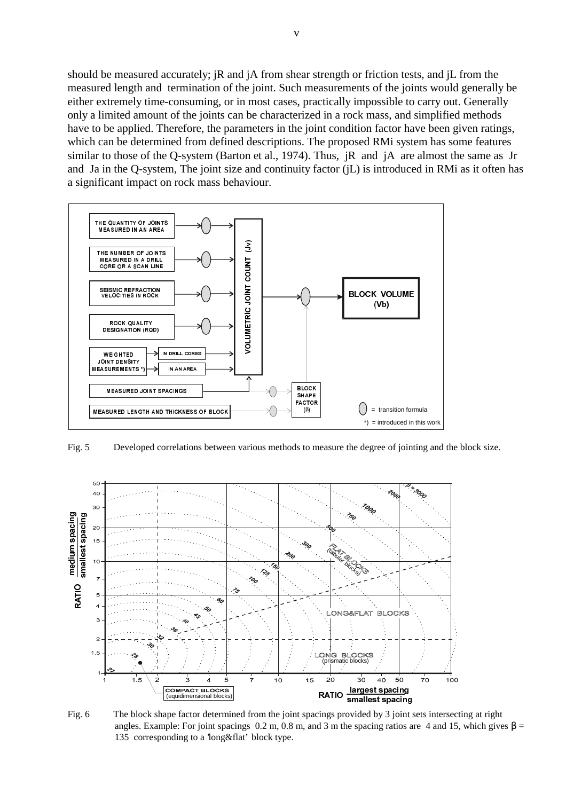should be measured accurately; jR and jA from shear strength or friction tests, and jL from the measured length and termination of the joint. Such measurements of the joints would generally be either extremely time-consuming, or in most cases, practically impossible to carry out. Generally only a limited amount of the joints can be characterized in a rock mass, and simplified methods have to be applied. Therefore, the parameters in the joint condition factor have been given ratings, which can be determined from defined descriptions. The proposed RMi system has some features similar to those of the Q-system (Barton et al., 1974). Thus, jR and jA are almost the same as Jr and Ja in the Q-system, The joint size and continuity factor (jL) is introduced in RMi as it often has a significant impact on rock mass behaviour.



Fig. 5 Developed correlations between various methods to measure the degree of jointing and the block size.



Fig. 6 The block shape factor determined from the joint spacings provided by 3 joint sets intersecting at right angles. Example: For joint spacings 0.2 m, 0.8 m, and 3 m the spacing ratios are 4 and 15, which gives  $\beta$  = 135 corresponding to a 'long&flat' block type.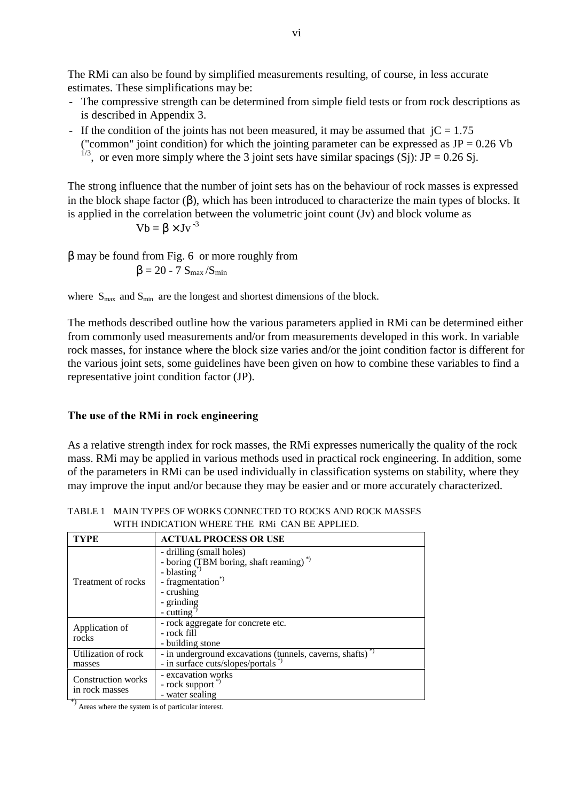The RMi can also be found by simplified measurements resulting, of course, in less accurate estimates. These simplifications may be:

- The compressive strength can be determined from simple field tests or from rock descriptions as is described in Appendix 3.
- If the condition of the joints has not been measured, it may be assumed that  $iC = 1.75$ ("common" joint condition) for which the jointing parameter can be expressed as  $JP = 0.26$  Vb

<sup>1/3</sup>, or even more simply where the 3 joint sets have similar spacings (Sj): JP = 0.26 Sj.

The strong influence that the number of joint sets has on the behaviour of rock masses is expressed in the block shape factor  $(\beta)$ , which has been introduced to characterize the main types of blocks. It is applied in the correlation between the volumetric joint count (Jv) and block volume as

 $Vb = \beta \times Jv^{-3}$ 

β may be found from Fig. 6 or more roughly from  $\beta = 20 - 7 S_{\text{max}} / S_{\text{min}}$ 

where  $S_{\text{max}}$  and  $S_{\text{min}}$  are the longest and shortest dimensions of the block.

The methods described outline how the various parameters applied in RMi can be determined either from commonly used measurements and/or from measurements developed in this work. In variable rock masses, for instance where the block size varies and/or the joint condition factor is different for the various joint sets, some guidelines have been given on how to combine these variables to find a representative joint condition factor (JP).

# The use of the RMi in rock engineering

As a relative strength index for rock masses, the RMi expresses numerically the quality of the rock mass. RMi may be applied in various methods used in practical rock engineering. In addition, some of the parameters in RMi can be used individually in classification systems on stability, where they may improve the input and/or because they may be easier and or more accurately characterized.

| - TVDF | ACTUAL BROCESS OR HER                                          |
|--------|----------------------------------------------------------------|
|        | WITH INDICATION WHERE THE RMi CAN BE APPLIED.                  |
|        | TABLE 1 MAIN TYPES OF WORKS CONNECTED TO ROCKS AND ROCK MASSES |

| <b>TYPE</b>                                 | <b>ACTUAL PROCESS OR USE</b>                                                                                                                                                                       |
|---------------------------------------------|----------------------------------------------------------------------------------------------------------------------------------------------------------------------------------------------------|
| Treatment of rocks                          | - drilling (small holes)<br>- boring (TBM boring, shaft reaming) <sup>*</sup><br>- blasting <sup>*</sup><br>- fragmentation <sup>*</sup><br>- crushing<br>- grinding<br>$-$ cutting $\overline{a}$ |
| Application of<br>rocks                     | - rock aggregate for concrete etc.<br>- rock fill<br>- building stone                                                                                                                              |
| Utilization of rock<br>masses               | - in underground excavations (tunnels, caverns, shafts) <sup>*</sup><br>- in surface cuts/slopes/portals <sup>*</sup> )                                                                            |
| <b>Construction works</b><br>in rock masses | - excavation works<br>- rock support"<br>- water sealing                                                                                                                                           |

 $^{*}$ ) Areas where the system is of particular interest.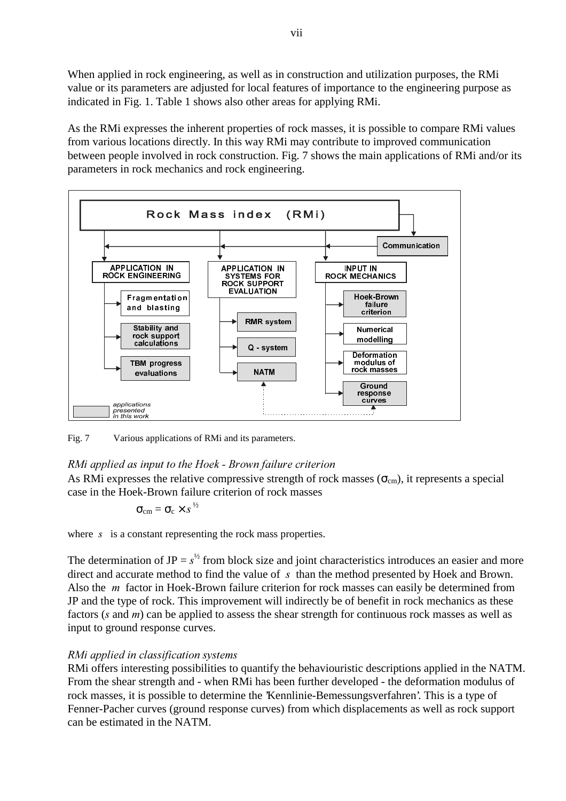When applied in rock engineering, as well as in construction and utilization purposes, the RMi value or its parameters are adjusted for local features of importance to the engineering purpose as indicated in Fig. 1. Table 1 shows also other areas for applying RMi.

As the RMi expresses the inherent properties of rock masses, it is possible to compare RMi values from various locations directly. In this way RMi may contribute to improved communication between people involved in rock construction. Fig. 7 shows the main applications of RMi and/or its parameters in rock mechanics and rock engineering.



Fig. 7 Various applications of RMi and its parameters.

# RMi applied as input to the Hoek - Brown failure criterion

As RMi expresses the relative compressive strength of rock masses ( $\sigma_{cm}$ ), it represents a special case in the Hoek-Brown failure criterion of rock masses

$$
\sigma_{\rm cm} = \sigma_{\rm c} \times s^{1/2}
$$

where  $\bar{s}$  is a constant representing the rock mass properties.

The determination of JP =  $s^{1/2}$  from block size and joint characteristics introduces an easier and more direct and accurate method to find the value of  $s$  than the method presented by Hoek and Brown. Also the  $m$  factor in Hoek-Brown failure criterion for rock masses can easily be determined from JP and the type of rock. This improvement will indirectly be of benefit in rock mechanics as these factors ( $s$  and  $m$ ) can be applied to assess the shear strength for continuous rock masses as well as input to ground response curves.

# RMi applied in classification systems

RMi offers interesting possibilities to quantify the behaviouristic descriptions applied in the NATM. From the shear strength and - when RMi has been further developed - the deformation modulus of rock masses, it is possible to determine the 'Kennlinie-Bemessungsverfahren'. This is a type of Fenner-Pacher curves (ground response curves) from which displacements as well as rock support can be estimated in the NATM.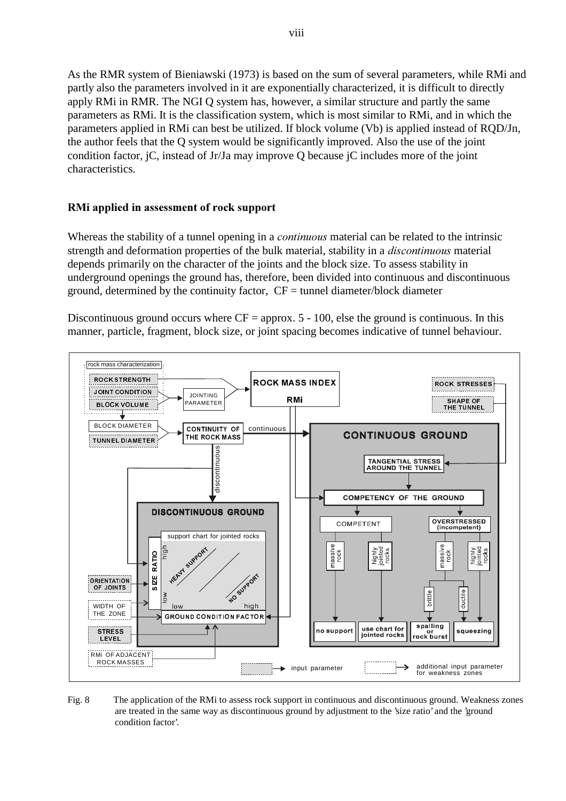As the RMR system of Bieniawski (1973) is based on the sum of several parameters, while RMi and partly also the parameters involved in it are exponentially characterized, it is difficult to directly apply RMi in RMR. The NGI Q system has, however, a similar structure and partly the same parameters as RMi. It is the classification system, which is most similar to RMi, and in which the parameters applied in RMi can best be utilized. If block volume (Vb) is applied instead of RQD/Jn, the author feels that the Q system would be significantly improved. Also the use of the joint condition factor, jC, instead of Jr/Ja may improve Q because jC includes more of the joint characteristics.

# RMi applied in assessment of rock support

Whereas the stability of a tunnel opening in a *continuous* material can be related to the intrinsic strength and deformation properties of the bulk material, stability in a *discontinuous* material depends primarily on the character of the joints and the block size. To assess stability in underground openings the ground has, therefore, been divided into continuous and discontinuous ground, determined by the continuity factor,  $CF =$  tunnel diameter/block diameter

Discontinuous ground occurs where  $CF =$  approx. 5 - 100, else the ground is continuous. In this manner, particle, fragment, block size, or joint spacing becomes indicative of tunnel behaviour.



Fig. 8 The application of the RMi to assess rock support in continuous and discontinuous ground. Weakness zones are treated in the same way as discontinuous ground by adjustment to the 'size ratio' and the 'ground condition factor'.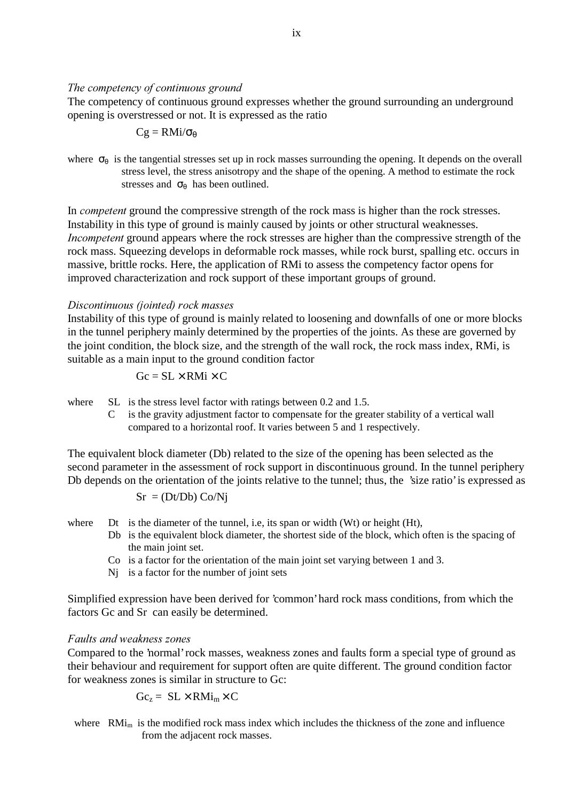### The competency of continuous ground

The competency of continuous ground expresses whether the ground surrounding an underground opening is overstressed or not. It is expressed as the ratio

$$
Cg=RMi/\sigma_\theta
$$

where  $\sigma_{\theta}$  is the tangential stresses set up in rock masses surrounding the opening. It depends on the overall stress level, the stress anisotropy and the shape of the opening. A method to estimate the rock stresses and  $\sigma_{\theta}$  has been outlined.

In *competent* ground the compressive strength of the rock mass is higher than the rock stresses. Instability in this type of ground is mainly caused by joints or other structural weaknesses. *Incompetent* ground appears where the rock stresses are higher than the compressive strength of the rock mass. Squeezing develops in deformable rock masses, while rock burst, spalling etc. occurs in massive, brittle rocks. Here, the application of RMi to assess the competency factor opens for improved characterization and rock support of these important groups of ground.

### Discontinuous (jointed) rock masses

Instability of this type of ground is mainly related to loosening and downfalls of one or more blocks in the tunnel periphery mainly determined by the properties of the joints. As these are governed by the joint condition, the block size, and the strength of the wall rock, the rock mass index, RMi, is suitable as a main input to the ground condition factor

$$
Gc = SL \times RMi \times C
$$

where SL is the stress level factor with ratings between 0.2 and 1.5.

C is the gravity adjustment factor to compensate for the greater stability of a vertical wall compared to a horizontal roof. It varies between 5 and 1 respectively.

The equivalent block diameter (Db) related to the size of the opening has been selected as the second parameter in the assessment of rock support in discontinuous ground. In the tunnel periphery Db depends on the orientation of the joints relative to the tunnel; thus, the 'size ratio' is expressed as

$$
Sr = (Dt/Db) Co/Nj
$$

where Dt is the diameter of the tunnel, i.e, its span or width (Wt) or height (Ht),

- Db is the equivalent block diameter, the shortest side of the block, which often is the spacing of the main joint set.
- Co is a factor for the orientation of the main joint set varying between 1 and 3.
- Nj is a factor for the number of joint sets

Simplified expression have been derived for 'common' hard rock mass conditions, from which the factors Gc and Sr can easily be determined.

### Faults and weakness zones

Compared to the 'normal' rock masses, weakness zones and faults form a special type of ground as their behaviour and requirement for support often are quite different. The ground condition factor for weakness zones is similar in structure to Gc:

$$
Gc_z = SL \times RMi_m \times C
$$

where  $RMi_m$  is the modified rock mass index which includes the thickness of the zone and influence from the adjacent rock masses.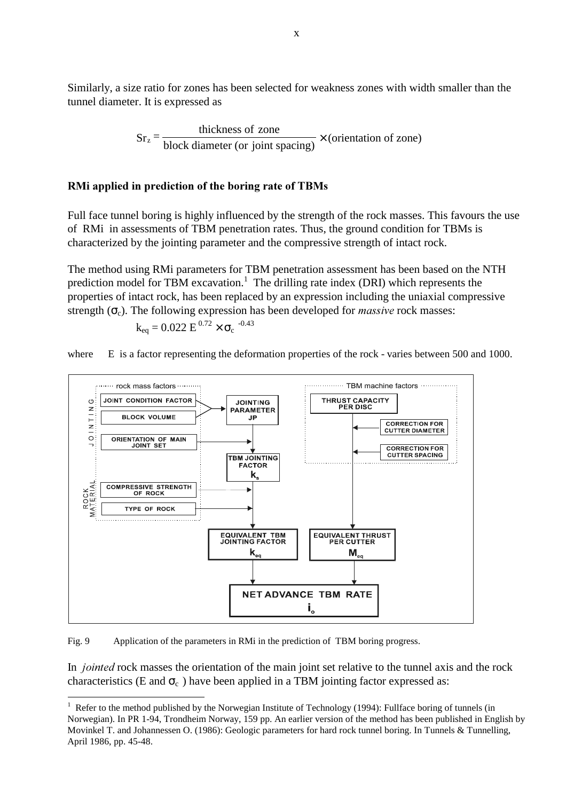Similarly, a size ratio for zones has been selected for weakness zones with width smaller than the tunnel diameter. It is expressed as

> block diameter (or joint spacing)  $S_r = \frac{\text{thickness of zone}}{\text{kI} \cdot \text{min of time (cos 1s)} \times \text{(orientation of zone)}}$

# RMi applied in prediction of the boring rate of TBMs

Full face tunnel boring is highly influenced by the strength of the rock masses. This favours the use of RMi in assessments of TBM penetration rates. Thus, the ground condition for TBMs is characterized by the jointing parameter and the compressive strength of intact rock.

The method using RMi parameters for TBM penetration assessment has been based on the NTH prediction model for TBM excavation.<sup>1</sup> The drilling rate index (DRI) which represents the properties of intact rock, has been replaced by an expression including the uniaxial compressive strength  $(\sigma_c)$ . The following expression has been developed for *massive* rock masses:

$$
k_{eq} = 0.022 \text{ E}^{0.72} \times \sigma_c
$$
 <sup>-0.43</sup>

where E is a factor representing the deformation properties of the rock - varies between 500 and 1000.



Fig. 9 Application of the parameters in RMi in the prediction of TBM boring progress.

 $\overline{a}$ 

In *jointed* rock masses the orientation of the main joint set relative to the tunnel axis and the rock characteristics (E and  $\sigma_c$ ) have been applied in a TBM jointing factor expressed as:

 $1$  Refer to the method published by the Norwegian Institute of Technology (1994): Fullface boring of tunnels (in Norwegian). In PR 1-94, Trondheim Norway, 159 pp. An earlier version of the method has been published in English by Movinkel T. and Johannessen O. (1986): Geologic parameters for hard rock tunnel boring. In Tunnels & Tunnelling, April 1986, pp. 45-48.